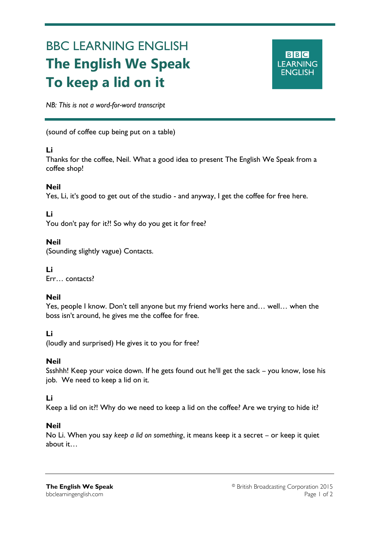# BBC LEARNING ENGLISH **The English We Speak To keep a lid on it**



*NB: This is not a word-for-word transcript*

(sound of coffee cup being put on a table)

#### **Li**

Ξ

Thanks for the coffee, Neil. What a good idea to present The English We Speak from a coffee shop!

# **Neil**

Yes, Li, it's good to get out of the studio - and anyway, I get the coffee for free here.

# **Li**

You don't pay for it?! So why do you get it for free?

# **Neil**

(Sounding slightly vague) Contacts.

# **Li**

Err… contacts?

# **Neil**

Yes, people I know. Don't tell anyone but my friend works here and… well… when the boss isn't around, he gives me the coffee for free.

# **Li**

(loudly and surprised) He gives it to you for free?

# **Neil**

Ssshhh! Keep your voice down. If he gets found out he'll get the sack – you know, lose his job. We need to keep a lid on it.

#### **Li**

Keep a lid on it?! Why do we need to keep a lid on the coffee? Are we trying to hide it?

#### **Neil**

No Li. When you say *keep a lid on something*, it means keep it a secret – or keep it quiet about it…